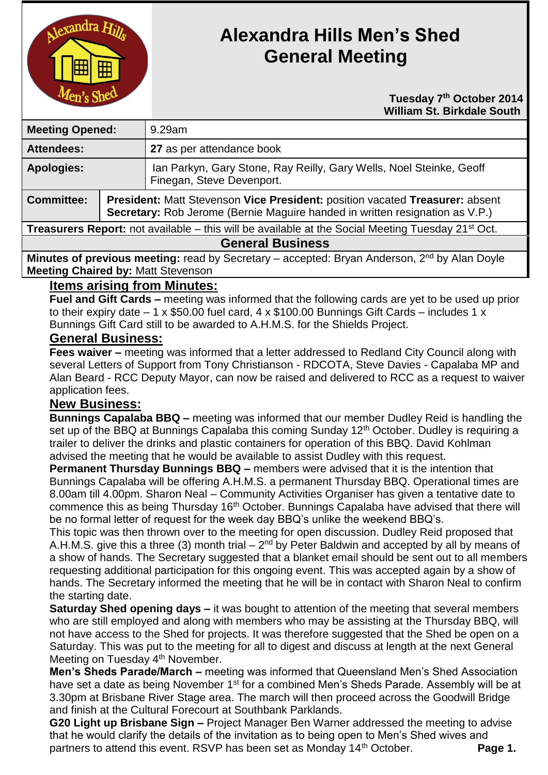

# **Alexandra Hills Men's Shed General Meeting**

 **Tuesday 7 th October 2014 William St. Birkdale South** 

| <b>Meeting Opened:</b>                                                                                               |                                                                                                                                                                     | $9.29$ am                                                                                        |
|----------------------------------------------------------------------------------------------------------------------|---------------------------------------------------------------------------------------------------------------------------------------------------------------------|--------------------------------------------------------------------------------------------------|
| <b>Attendees:</b>                                                                                                    |                                                                                                                                                                     | 27 as per attendance book                                                                        |
| <b>Apologies:</b>                                                                                                    |                                                                                                                                                                     | Ian Parkyn, Gary Stone, Ray Reilly, Gary Wells, Noel Steinke, Geoff<br>Finegan, Steve Devenport. |
| <b>Committee:</b>                                                                                                    | <b>President: Matt Stevenson Vice President: position vacated Treasurer: absent</b><br>Secretary: Rob Jerome (Bernie Maguire handed in written resignation as V.P.) |                                                                                                  |
| <b>Treasurers Report:</b> not available – this will be available at the Social Meeting Tuesday 21 <sup>st</sup> Oct. |                                                                                                                                                                     |                                                                                                  |
| <b>General Business</b>                                                                                              |                                                                                                                                                                     |                                                                                                  |
| Minutes of previous meeting: read by Secretary – accepted: Bryan Anderson, 2 <sup>nd</sup> by Alan Doyle             |                                                                                                                                                                     |                                                                                                  |
| <b>Meeting Chaired by: Matt Stevenson</b>                                                                            |                                                                                                                                                                     |                                                                                                  |

## **Items arising from Minutes:**

**Fuel and Gift Cards –** meeting was informed that the following cards are yet to be used up prior to their expiry date  $-1 \times $50.00$  fuel card,  $4 \times $100.00$  Bunnings Gift Cards – includes 1 x Bunnings Gift Card still to be awarded to A.H.M.S. for the Shields Project.

### **General Business:**

**Fees waiver –** meeting was informed that a letter addressed to Redland City Council along with several Letters of Support from Tony Christianson - RDCOTA, Steve Davies - Capalaba MP and Alan Beard - RCC Deputy Mayor, can now be raised and delivered to RCC as a request to waiver application fees.

#### **New Business:**

**Bunnings Capalaba BBQ –** meeting was informed that our member Dudley Reid is handling the set up of the BBQ at Bunnings Capalaba this coming Sunday 12<sup>th</sup> October. Dudley is requiring a trailer to deliver the drinks and plastic containers for operation of this BBQ. David Kohlman advised the meeting that he would be available to assist Dudley with this request.

**Permanent Thursday Bunnings BBQ –** members were advised that it is the intention that Bunnings Capalaba will be offering A.H.M.S. a permanent Thursday BBQ. Operational times are 8.00am till 4.00pm. Sharon Neal – Community Activities Organiser has given a tentative date to commence this as being Thursday 16<sup>th</sup> October. Bunnings Capalaba have advised that there will be no formal letter of request for the week day BBQ's unlike the weekend BBQ's.

This topic was then thrown over to the meeting for open discussion. Dudley Reid proposed that A.H.M.S. give this a three (3) month trial  $-2<sup>nd</sup>$  by Peter Baldwin and accepted by all by means of a show of hands. The Secretary suggested that a blanket email should be sent out to all members requesting additional participation for this ongoing event. This was accepted again by a show of hands. The Secretary informed the meeting that he will be in contact with Sharon Neal to confirm the starting date.

**Saturday Shed opening days –** it was bought to attention of the meeting that several members who are still employed and along with members who may be assisting at the Thursday BBQ, will not have access to the Shed for projects. It was therefore suggested that the Shed be open on a Saturday. This was put to the meeting for all to digest and discuss at length at the next General Meeting on Tuesday 4<sup>th</sup> November.

**Men's Sheds Parade/March –** meeting was informed that Queensland Men's Shed Association have set a date as being November 1<sup>st</sup> for a combined Men's Sheds Parade. Assembly will be at 3.30pm at Brisbane River Stage area. The march will then proceed across the Goodwill Bridge and finish at the Cultural Forecourt at Southbank Parklands.

**G20 Light up Brisbane Sign –** Project Manager Ben Warner addressed the meeting to advise that he would clarify the details of the invitation as to being open to Men's Shed wives and partners to attend this event. RSVP has been set as Monday 14<sup>th</sup> October. **Page 1.**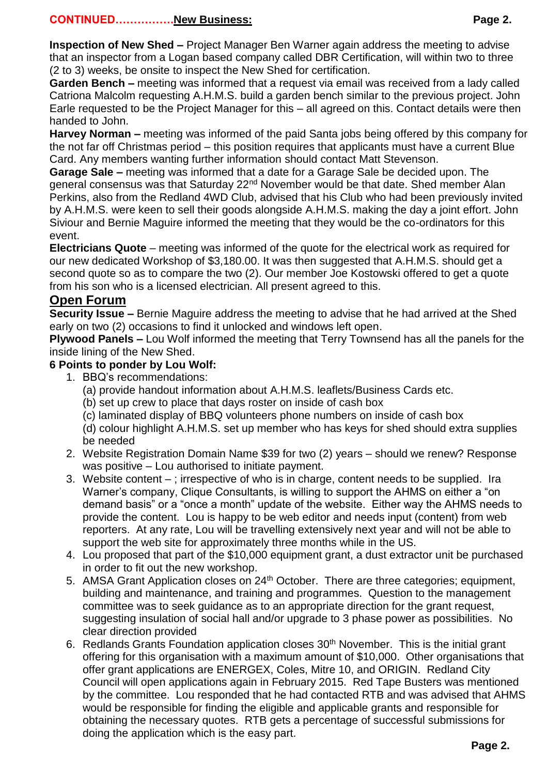#### **CONTINUED…………….New Business: Page 2.**

**Garden Bench –** meeting was informed that a request via email was received from a lady called Catriona Malcolm requesting A.H.M.S. build a garden bench similar to the previous project. John Earle requested to be the Project Manager for this – all agreed on this. Contact details were then handed to John.

**Harvey Norman –** meeting was informed of the paid Santa jobs being offered by this company for the not far off Christmas period – this position requires that applicants must have a current Blue Card. Any members wanting further information should contact Matt Stevenson.

**Garage Sale –** meeting was informed that a date for a Garage Sale be decided upon. The general consensus was that Saturday 22<sup>nd</sup> November would be that date. Shed member Alan Perkins, also from the Redland 4WD Club, advised that his Club who had been previously invited by A.H.M.S. were keen to sell their goods alongside A.H.M.S. making the day a joint effort. John Siviour and Bernie Maguire informed the meeting that they would be the co-ordinators for this event.

**Electricians Quote** – meeting was informed of the quote for the electrical work as required for our new dedicated Workshop of \$3,180.00. It was then suggested that A.H.M.S. should get a second quote so as to compare the two (2). Our member Joe Kostowski offered to get a quote from his son who is a licensed electrician. All present agreed to this.

## **Open Forum**

**Security Issue –** Bernie Maguire address the meeting to advise that he had arrived at the Shed early on two (2) occasions to find it unlocked and windows left open.

**Plywood Panels –** Lou Wolf informed the meeting that Terry Townsend has all the panels for the inside lining of the New Shed.

#### **6 Points to ponder by Lou Wolf:**

- 1. BBQ's recommendations:
	- (a) provide handout information about A.H.M.S. leaflets/Business Cards etc.
	- (b) set up crew to place that days roster on inside of cash box
	- (c) laminated display of BBQ volunteers phone numbers on inside of cash box
	- (d) colour highlight A.H.M.S. set up member who has keys for shed should extra supplies be needed
- 2. Website Registration Domain Name \$39 for two (2) years should we renew? Response was positive – Lou authorised to initiate payment.
- 3. Website content ; irrespective of who is in charge, content needs to be supplied. Ira Warner's company, Clique Consultants, is willing to support the AHMS on either a "on demand basis" or a "once a month" update of the website. Either way the AHMS needs to provide the content. Lou is happy to be web editor and needs input (content) from web reporters. At any rate, Lou will be travelling extensively next year and will not be able to support the web site for approximately three months while in the US.
- 4. Lou proposed that part of the \$10,000 equipment grant, a dust extractor unit be purchased in order to fit out the new workshop.
- 5. AMSA Grant Application closes on 24<sup>th</sup> October. There are three categories; equipment, building and maintenance, and training and programmes. Question to the management committee was to seek guidance as to an appropriate direction for the grant request, suggesting insulation of social hall and/or upgrade to 3 phase power as possibilities. No clear direction provided
- 6. Redlands Grants Foundation application closes  $30<sup>th</sup>$  November. This is the initial grant offering for this organisation with a maximum amount of \$10,000. Other organisations that offer grant applications are ENERGEX, Coles, Mitre 10, and ORIGIN. Redland City Council will open applications again in February 2015. Red Tape Busters was mentioned by the committee. Lou responded that he had contacted RTB and was advised that AHMS would be responsible for finding the eligible and applicable grants and responsible for obtaining the necessary quotes. RTB gets a percentage of successful submissions for doing the application which is the easy part.